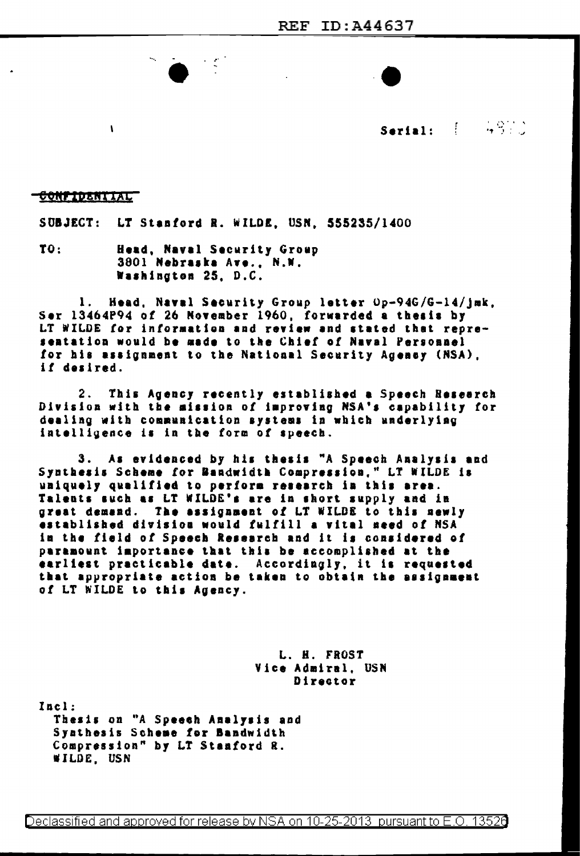

Serial:  $\left( \begin{array}{cc} 0.972 \\ 0.972 \end{array} \right)$ 

## <u>CONFIDENTIAL</u>

 $\mathbf{I}$ 

SUBJECT: LT Stanford R. WILDE, USN, 555235/1400

TO: Head, Naval Security Group 3801 Nebraska Ave., N.W. Washington 25, D.C.

Head, Navel Security Group letter Op-94G/G-14/jmk, 1. Ser 13464P94 of 26 November 1960, forwarded a thesis by LT WILDE for information and review and stated that representation would be made to the Chief of Naval Personnel for his assignment to the National Security Agency (NSA). if desired.

 $2.$ This Agency recently established a Speech Research Division with the mission of improving NSA's capability for dealing with communication systems in which underlying intelligence is in the form of speech.

3. As evidenced by his thesis "A Speech Analysis and Synthesis Scheme for Bandwidth Compression," LT WILDE is uniquely qualified to perform research in this area. Talents such as LT WILDE's are in short supply and in great demand. The assignment of LT WILDE to this newly established division would fulfill a vital need of NSA in the field of Speech Research and it is considered of paramount importance that this be accomplished at the earliest practicable date. Accordingly, it is requested<br>that appropriate action be taken to obtain the assignment of LT WILDE to this Agency.

> L. H. FROST Vice Admiral, USN Director

Incl: Thesis on "A Speech Analysis and Synthesis Scheme for Bandwidth Compression" by LT Stanford R. WILDE, USN